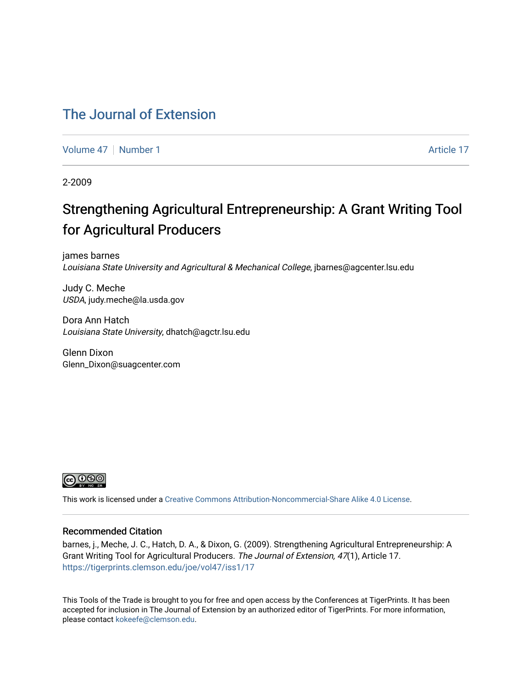### [The Journal of Extension](https://tigerprints.clemson.edu/joe)

[Volume 47](https://tigerprints.clemson.edu/joe/vol47) | [Number 1](https://tigerprints.clemson.edu/joe/vol47/iss1) Article 17

2-2009

## Strengthening Agricultural Entrepreneurship: A Grant Writing Tool for Agricultural Producers

james barnes Louisiana State University and Agricultural & Mechanical College, jbarnes@agcenter.lsu.edu

Judy C. Meche USDA, judy.meche@la.usda.gov

Dora Ann Hatch Louisiana State University, dhatch@agctr.lsu.edu

Glenn Dixon Glenn\_Dixon@suagcenter.com



This work is licensed under a [Creative Commons Attribution-Noncommercial-Share Alike 4.0 License.](https://creativecommons.org/licenses/by-nc-sa/4.0/)

#### Recommended Citation

barnes, j., Meche, J. C., Hatch, D. A., & Dixon, G. (2009). Strengthening Agricultural Entrepreneurship: A Grant Writing Tool for Agricultural Producers. The Journal of Extension, 47(1), Article 17. <https://tigerprints.clemson.edu/joe/vol47/iss1/17>

This Tools of the Trade is brought to you for free and open access by the Conferences at TigerPrints. It has been accepted for inclusion in The Journal of Extension by an authorized editor of TigerPrints. For more information, please contact [kokeefe@clemson.edu](mailto:kokeefe@clemson.edu).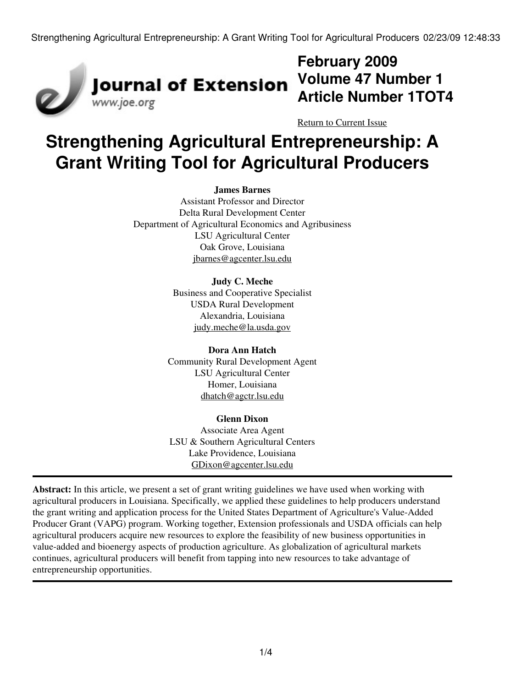

## **February 2009 Volume 47 Number 1 Article Number 1TOT4**

[Return to Current Issue](http://www.joe.org:80/joe/2009february/)

# **Strengthening Agricultural Entrepreneurship: A Grant Writing Tool for Agricultural Producers**

#### **James Barnes**

Assistant Professor and Director Delta Rural Development Center Department of Agricultural Economics and Agribusiness LSU Agricultural Center Oak Grove, Louisiana [jbarnes@agcenter.lsu.edu](mailto:jbarnes@agcenter.lsu.edu)

#### **Judy C. Meche**

Business and Cooperative Specialist USDA Rural Development Alexandria, Louisiana [judy.meche@la.usda.gov](mailto:judy.meche@la.usda.gov)

#### **Dora Ann Hatch** Community Rural Development Agent LSU Agricultural Center Homer, Louisiana [dhatch@agctr.lsu.edu](mailto:dhatch@agctr.lsu.edu)

**Glenn Dixon** Associate Area Agent LSU & Southern Agricultural Centers Lake Providence, Louisiana [GDixon@agcenter.lsu.edu](mailto:GDixon@agcenter.lsu.edu)

**Abstract:** In this article, we present a set of grant writing guidelines we have used when working with agricultural producers in Louisiana. Specifically, we applied these guidelines to help producers understand the grant writing and application process for the United States Department of Agriculture's Value-Added Producer Grant (VAPG) program. Working together, Extension professionals and USDA officials can help agricultural producers acquire new resources to explore the feasibility of new business opportunities in value-added and bioenergy aspects of production agriculture. As globalization of agricultural markets continues, agricultural producers will benefit from tapping into new resources to take advantage of entrepreneurship opportunities.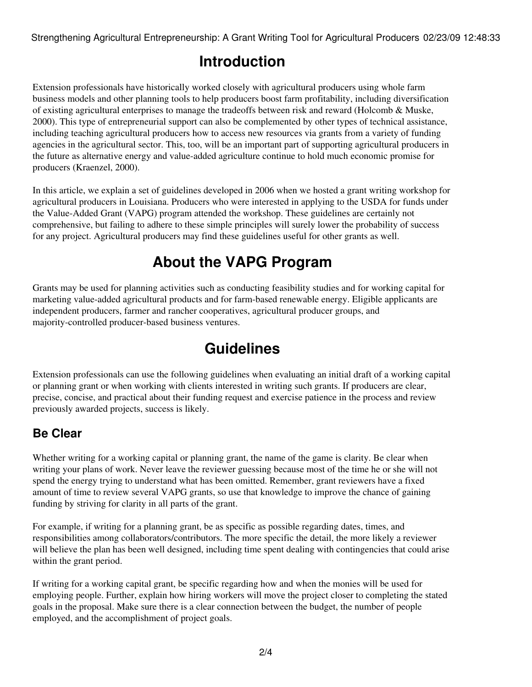Strengthening Agricultural Entrepreneurship: A Grant Writing Tool for Agricultural Producers 02/23/09 12:48:33

## **Introduction**

Extension professionals have historically worked closely with agricultural producers using whole farm business models and other planning tools to help producers boost farm profitability, including diversification of existing agricultural enterprises to manage the tradeoffs between risk and reward (Holcomb & Muske, 2000). This type of entrepreneurial support can also be complemented by other types of technical assistance, including teaching agricultural producers how to access new resources via grants from a variety of funding agencies in the agricultural sector. This, too, will be an important part of supporting agricultural producers in the future as alternative energy and value-added agriculture continue to hold much economic promise for producers (Kraenzel, 2000).

In this article, we explain a set of guidelines developed in 2006 when we hosted a grant writing workshop for agricultural producers in Louisiana. Producers who were interested in applying to the USDA for funds under the Value-Added Grant (VAPG) program attended the workshop. These guidelines are certainly not comprehensive, but failing to adhere to these simple principles will surely lower the probability of success for any project. Agricultural producers may find these guidelines useful for other grants as well.

## **About the VAPG Program**

Grants may be used for planning activities such as conducting feasibility studies and for working capital for marketing value-added agricultural products and for farm-based renewable energy. Eligible applicants are independent producers, farmer and rancher cooperatives, agricultural producer groups, and majority-controlled producer-based business ventures.

## **Guidelines**

Extension professionals can use the following guidelines when evaluating an initial draft of a working capital or planning grant or when working with clients interested in writing such grants. If producers are clear, precise, concise, and practical about their funding request and exercise patience in the process and review previously awarded projects, success is likely.

#### **Be Clear**

Whether writing for a working capital or planning grant, the name of the game is clarity. Be clear when writing your plans of work. Never leave the reviewer guessing because most of the time he or she will not spend the energy trying to understand what has been omitted. Remember, grant reviewers have a fixed amount of time to review several VAPG grants, so use that knowledge to improve the chance of gaining funding by striving for clarity in all parts of the grant.

For example, if writing for a planning grant, be as specific as possible regarding dates, times, and responsibilities among collaborators/contributors. The more specific the detail, the more likely a reviewer will believe the plan has been well designed, including time spent dealing with contingencies that could arise within the grant period.

If writing for a working capital grant, be specific regarding how and when the monies will be used for employing people. Further, explain how hiring workers will move the project closer to completing the stated goals in the proposal. Make sure there is a clear connection between the budget, the number of people employed, and the accomplishment of project goals.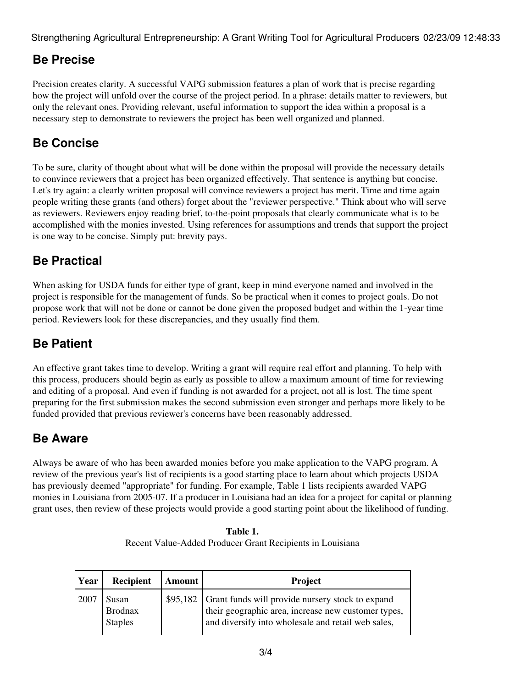Strengthening Agricultural Entrepreneurship: A Grant Writing Tool for Agricultural Producers 02/23/09 12:48:33

### **Be Precise**

Precision creates clarity. A successful VAPG submission features a plan of work that is precise regarding how the project will unfold over the course of the project period. In a phrase: details matter to reviewers, but only the relevant ones. Providing relevant, useful information to support the idea within a proposal is a necessary step to demonstrate to reviewers the project has been well organized and planned.

### **Be Concise**

To be sure, clarity of thought about what will be done within the proposal will provide the necessary details to convince reviewers that a project has been organized effectively. That sentence is anything but concise. Let's try again: a clearly written proposal will convince reviewers a project has merit. Time and time again people writing these grants (and others) forget about the "reviewer perspective." Think about who will serve as reviewers. Reviewers enjoy reading brief, to-the-point proposals that clearly communicate what is to be accomplished with the monies invested. Using references for assumptions and trends that support the project is one way to be concise. Simply put: brevity pays.

### **Be Practical**

When asking for USDA funds for either type of grant, keep in mind everyone named and involved in the project is responsible for the management of funds. So be practical when it comes to project goals. Do not propose work that will not be done or cannot be done given the proposed budget and within the 1-year time period. Reviewers look for these discrepancies, and they usually find them.

#### **Be Patient**

An effective grant takes time to develop. Writing a grant will require real effort and planning. To help with this process, producers should begin as early as possible to allow a maximum amount of time for reviewing and editing of a proposal. And even if funding is not awarded for a project, not all is lost. The time spent preparing for the first submission makes the second submission even stronger and perhaps more likely to be funded provided that previous reviewer's concerns have been reasonably addressed.

#### **Be Aware**

Always be aware of who has been awarded monies before you make application to the VAPG program. A review of the previous year's list of recipients is a good starting place to learn about which projects USDA has previously deemed "appropriate" for funding. For example, Table 1 lists recipients awarded VAPG monies in Louisiana from 2005-07. If a producer in Louisiana had an idea for a project for capital or planning grant uses, then review of these projects would provide a good starting point about the likelihood of funding.

| Table 1.                                                  |  |
|-----------------------------------------------------------|--|
| Recent Value-Added Producer Grant Recipients in Louisiana |  |

| Year  | <b>Recipient</b>                          | Amount | <b>Project</b>                                                                                                                                                         |
|-------|-------------------------------------------|--------|------------------------------------------------------------------------------------------------------------------------------------------------------------------------|
| 12007 | Susan<br><b>Brodnax</b><br><b>Staples</b> |        | \$95,182 Grant funds will provide nursery stock to expand<br>their geographic area, increase new customer types,<br>and diversify into wholesale and retail web sales, |